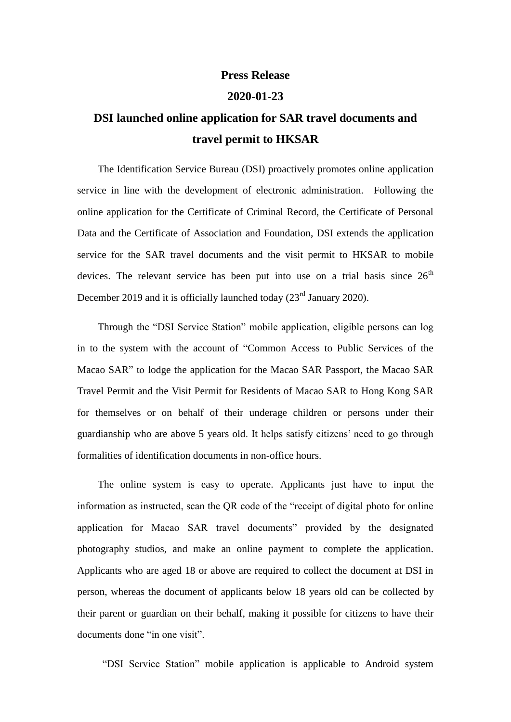## **Press Release**

## **2020-01-23**

## **DSI launched online application for SAR travel documents and travel permit to HKSAR**

The Identification Service Bureau (DSI) proactively promotes online application service in line with the development of electronic administration. Following the online application for the Certificate of Criminal Record, the Certificate of Personal Data and the Certificate of Association and Foundation, DSI extends the application service for the SAR travel documents and the visit permit to HKSAR to mobile devices. The relevant service has been put into use on a trial basis since  $26<sup>th</sup>$ December 2019 and it is officially launched today  $(23<sup>rd</sup> January 2020)$ .

Through the "DSI Service Station" mobile application, eligible persons can log in to the system with the account of "Common Access to Public Services of the Macao SAR" to lodge the application for the Macao SAR Passport, the Macao SAR Travel Permit and the Visit Permit for Residents of Macao SAR to Hong Kong SAR for themselves or on behalf of their underage children or persons under their guardianship who are above 5 years old. It helps satisfy citizens' need to go through formalities of identification documents in non-office hours.

The online system is easy to operate. Applicants just have to input the information as instructed, scan the QR code of the "receipt of digital photo for online application for Macao SAR travel documents" provided by the designated photography studios, and make an online payment to complete the application. Applicants who are aged 18 or above are required to collect the document at DSI in person, whereas the document of applicants below 18 years old can be collected by their parent or guardian on their behalf, making it possible for citizens to have their documents done "in one visit".

"DSI Service Station" mobile application is applicable to Android system